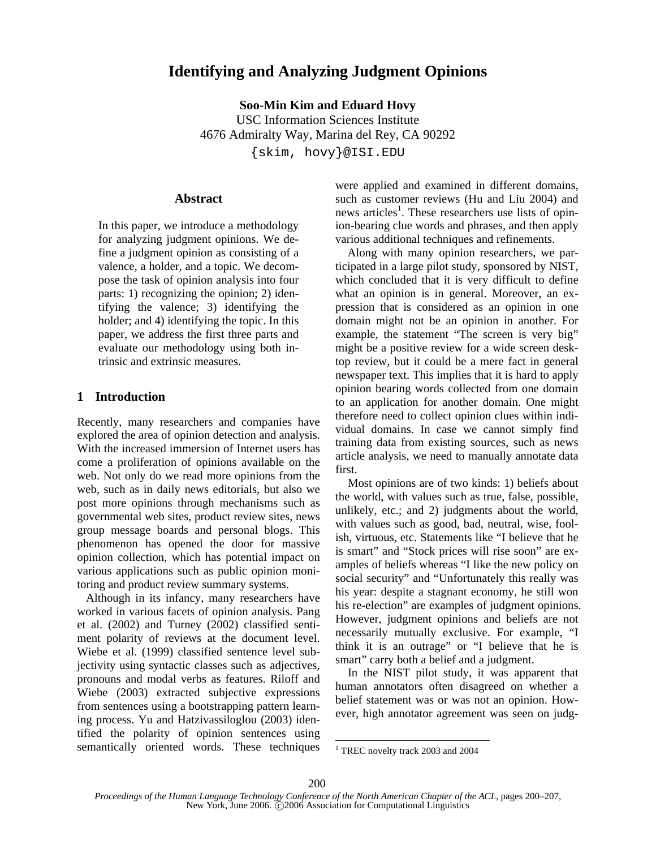# **Identifying and Analyzing Judgment Opinions**

**Soo-Min Kim and Eduard Hovy**  USC Information Sciences Institute 4676 Admiralty Way, Marina del Rey, CA 90292 {skim, hovy}@ISI.EDU

#### **Abstract**

In this paper, we introduce a methodology for analyzing judgment opinions. We define a judgment opinion as consisting of a valence, a holder, and a topic. We decompose the task of opinion analysis into four parts: 1) recognizing the opinion; 2) identifying the valence; 3) identifying the holder; and 4) identifying the topic. In this paper, we address the first three parts and evaluate our methodology using both intrinsic and extrinsic measures.

### **1 Introduction**

Recently, many researchers and companies have explored the area of opinion detection and analysis. With the increased immersion of Internet users has come a proliferation of opinions available on the web. Not only do we read more opinions from the web, such as in daily news editorials, but also we post more opinions through mechanisms such as governmental web sites, product review sites, news group message boards and personal blogs. This phenomenon has opened the door for massive opinion collection, which has potential impact on various applications such as public opinion monitoring and product review summary systems.

 Although in its infancy, many researchers have worked in various facets of opinion analysis. Pang et al. (2002) and Turney (2002) classified sentiment polarity of reviews at the document level. Wiebe et al. (1999) classified sentence level subjectivity using syntactic classes such as adjectives, pronouns and modal verbs as features. Riloff and Wiebe (2003) extracted subjective expressions from sentences using a bootstrapping pattern learning process. Yu and Hatzivassiloglou (2003) identified the polarity of opinion sentences using semantically oriented words. These techniques were applied and examined in different domains, such as customer reviews (Hu and Liu 2004) and news articles<sup>1</sup>. These researchers use lists of opinion-bearing clue words and phrases, and then apply various additional techniques and refinements.

Along with many opinion researchers, we participated in a large pilot study, sponsored by NIST, which concluded that it is very difficult to define what an opinion is in general. Moreover, an expression that is considered as an opinion in one domain might not be an opinion in another. For example, the statement "The screen is very big" might be a positive review for a wide screen desktop review, but it could be a mere fact in general newspaper text. This implies that it is hard to apply opinion bearing words collected from one domain to an application for another domain. One might therefore need to collect opinion clues within individual domains. In case we cannot simply find training data from existing sources, such as news article analysis, we need to manually annotate data first.

Most opinions are of two kinds: 1) beliefs about the world, with values such as true, false, possible, unlikely, etc.; and 2) judgments about the world, with values such as good, bad, neutral, wise, foolish, virtuous, etc. Statements like "I believe that he is smart" and "Stock prices will rise soon" are examples of beliefs whereas "I like the new policy on social security" and "Unfortunately this really was his year: despite a stagnant economy, he still won his re-election" are examples of judgment opinions. However, judgment opinions and beliefs are not necessarily mutually exclusive. For example, "I think it is an outrage" or "I believe that he is smart" carry both a belief and a judgment.

In the NIST pilot study, it was apparent that human annotators often disagreed on whether a belief statement was or was not an opinion. However, high annotator agreement was seen on judg-

<sup>1</sup> TREC novelty track 2003 and 2004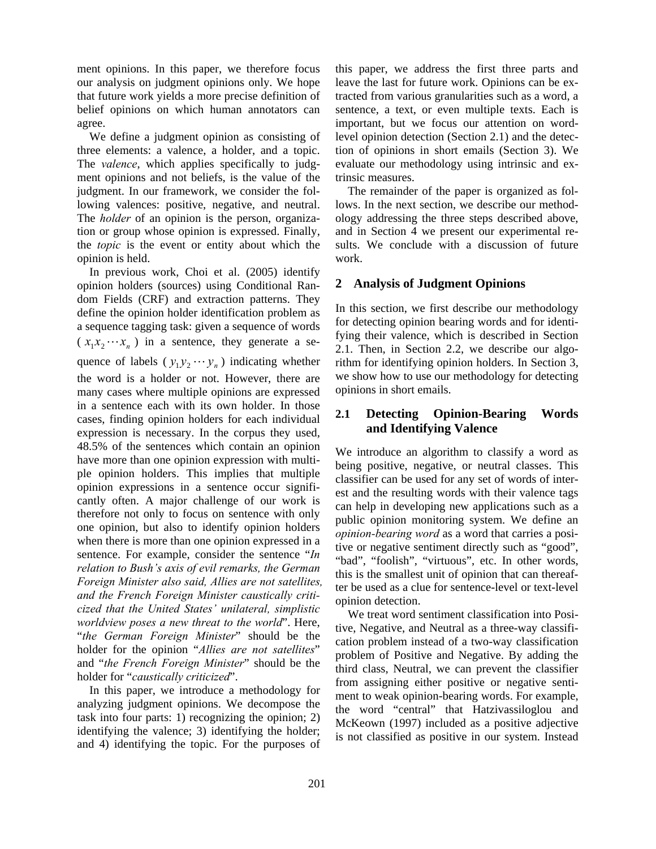ment opinions. In this paper, we therefore focus our analysis on judgment opinions only. We hope that future work yields a more precise definition of belief opinions on which human annotators can agree.

We define a judgment opinion as consisting of three elements: a valence, a holder, and a topic. The *valence*, which applies specifically to judgment opinions and not beliefs, is the value of the judgment. In our framework, we consider the following valences: positive, negative, and neutral. The *holder* of an opinion is the person, organization or group whose opinion is expressed. Finally, the *topic* is the event or entity about which the opinion is held.

In previous work, Choi et al. (2005) identify opinion holders (sources) using Conditional Random Fields (CRF) and extraction patterns. They define the opinion holder identification problem as a sequence tagging task: given a sequence of words  $(x_1 x_2 \cdots x_n)$  in a sentence, they generate a sequence of labels ( $y_1 y_2 \cdots y_n$ ) indicating whether the word is a holder or not. However, there are many cases where multiple opinions are expressed in a sentence each with its own holder. In those cases, finding opinion holders for each individual expression is necessary. In the corpus they used, 48.5% of the sentences which contain an opinion have more than one opinion expression with multiple opinion holders. This implies that multiple opinion expressions in a sentence occur significantly often. A major challenge of our work is therefore not only to focus on sentence with only one opinion, but also to identify opinion holders when there is more than one opinion expressed in a sentence. For example, consider the sentence "*In relation to Bush's axis of evil remarks, the German Foreign Minister also said, Allies are not satellites, and the French Foreign Minister caustically criticized that the United States' unilateral, simplistic worldview poses a new threat to the world*". Here, "*the German Foreign Minister*" should be the holder for the opinion "*Allies are not satellites*" and "*the French Foreign Minister*" should be the holder for "*caustically criticized*".

In this paper, we introduce a methodology for analyzing judgment opinions. We decompose the task into four parts: 1) recognizing the opinion; 2) identifying the valence; 3) identifying the holder; and 4) identifying the topic. For the purposes of this paper, we address the first three parts and leave the last for future work. Opinions can be extracted from various granularities such as a word, a sentence, a text, or even multiple texts. Each is important, but we focus our attention on wordlevel opinion detection (Section 2.1) and the detection of opinions in short emails (Section 3). We evaluate our methodology using intrinsic and extrinsic measures.

The remainder of the paper is organized as follows. In the next section, we describe our methodology addressing the three steps described above, and in Section 4 we present our experimental results. We conclude with a discussion of future work.

### **2 Analysis of Judgment Opinions**

In this section, we first describe our methodology for detecting opinion bearing words and for identifying their valence, which is described in Section 2.1. Then, in Section 2.2, we describe our algorithm for identifying opinion holders. In Section 3, we show how to use our methodology for detecting opinions in short emails.

### **2.1 Detecting Opinion-Bearing Words and Identifying Valence**

We introduce an algorithm to classify a word as being positive, negative, or neutral classes. This classifier can be used for any set of words of interest and the resulting words with their valence tags can help in developing new applications such as a public opinion monitoring system. We define an *opinion-bearing word* as a word that carries a positive or negative sentiment directly such as "good", "bad", "foolish", "virtuous", etc. In other words, this is the smallest unit of opinion that can thereafter be used as a clue for sentence-level or text-level opinion detection.

We treat word sentiment classification into Positive, Negative, and Neutral as a three-way classification problem instead of a two-way classification problem of Positive and Negative. By adding the third class, Neutral, we can prevent the classifier from assigning either positive or negative sentiment to weak opinion-bearing words. For example, the word "central" that Hatzivassiloglou and McKeown (1997) included as a positive adjective is not classified as positive in our system. Instead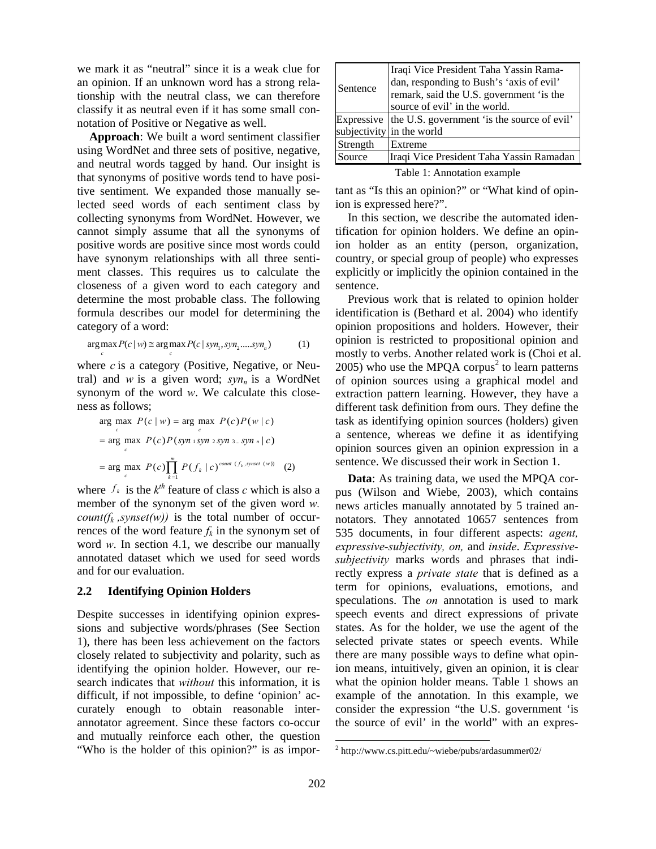we mark it as "neutral" since it is a weak clue for an opinion. If an unknown word has a strong relationship with the neutral class, we can therefore classify it as neutral even if it has some small connotation of Positive or Negative as well.

**Approach**: We built a word sentiment classifier using WordNet and three sets of positive, negative, and neutral words tagged by hand. Our insight is that synonyms of positive words tend to have positive sentiment. We expanded those manually selected seed words of each sentiment class by collecting synonyms from WordNet. However, we cannot simply assume that all the synonyms of positive words are positive since most words could have synonym relationships with all three sentiment classes. This requires us to calculate the closeness of a given word to each category and determine the most probable class. The following formula describes our model for determining the category of a word:

$$
\underset{c}{\arg\max} P(c \mid w) \cong \underset{c}{\arg\max} P(c \mid syn_1, syn_2......syn_n)
$$
 (1)

where *c* is a category (Positive, Negative, or Neutral) and  $w$  is a given word;  $syn_n$  is a WordNet synonym of the word *w*. We calculate this closeness as follows;

$$
\arg \max_{c} P(c | w) = \arg \max_{c} P(c)P(w | c)
$$
\n
$$
= \arg \max_{c} P(c)P(\text{syn} \text{ i} \text{syn} \text{ z} \text{ syn} \text{ s...} \text{syn} \text{ n} | c)
$$
\n
$$
= \arg \max_{c} P(c) \prod_{k=1}^{m} P(f_k | c)^{\text{count} (f_k, \text{synset (w))}} \quad (2)
$$

where  $f_k$  is the  $k^{th}$  feature of class *c* which is also a member of the synonym set of the given word *w. count(f<sub>k</sub>, synset(w))* is the total number of occurrences of the word feature  $f_k$  in the synonym set of word *w*. In section 4.1, we describe our manually annotated dataset which we used for seed words and for our evaluation.

#### **2.2 Identifying Opinion Holders**

Despite successes in identifying opinion expressions and subjective words/phrases (See Section 1), there has been less achievement on the factors closely related to subjectivity and polarity, such as identifying the opinion holder. However, our research indicates that *without* this information, it is difficult, if not impossible, to define 'opinion' accurately enough to obtain reasonable interannotator agreement. Since these factors co-occur and mutually reinforce each other, the question "Who is the holder of this opinion?" is as impor-

| Sentence | Iraqi Vice President Taha Yassin Rama-<br>dan, responding to Bush's 'axis of evil'<br>remark, said the U.S. government 'is the |
|----------|--------------------------------------------------------------------------------------------------------------------------------|
|          | source of evil' in the world.                                                                                                  |
|          | Expressive the U.S. government 'is the source of evil'                                                                         |
|          | subjectivity in the world                                                                                                      |
| Strength | Extreme                                                                                                                        |
| Source   | Iraqi Vice President Taha Yassin Ramadan                                                                                       |
|          | $-11$ $-1$ $-1$                                                                                                                |

Table 1: Annotation example

tant as "Is this an opinion?" or "What kind of opinion is expressed here?".

In this section, we describe the automated identification for opinion holders. We define an opinion holder as an entity (person, organization, country, or special group of people) who expresses explicitly or implicitly the opinion contained in the sentence.

Previous work that is related to opinion holder identification is (Bethard et al. 2004) who identify opinion propositions and holders. However, their opinion is restricted to propositional opinion and mostly to verbs. Another related work is (Choi et al.  $2005$ ) who use the MPQA corpus<sup>2</sup> to learn patterns of opinion sources using a graphical model and extraction pattern learning. However, they have a different task definition from ours. They define the task as identifying opinion sources (holders) given a sentence, whereas we define it as identifying opinion sources given an opinion expression in a sentence. We discussed their work in Section 1.

**Data**: As training data, we used the MPQA corpus (Wilson and Wiebe, 2003), which contains news articles manually annotated by 5 trained annotators. They annotated 10657 sentences from 535 documents, in four different aspects: *agent, expressive-subjectivity, on,* and *inside*. *Expressivesubjectivity* marks words and phrases that indirectly express a *private state* that is defined as a term for opinions, evaluations, emotions, and speculations. The *on* annotation is used to mark speech events and direct expressions of private states. As for the holder, we use the agent of the selected private states or speech events. While there are many possible ways to define what opinion means, intuitively, given an opinion, it is clear what the opinion holder means. Table 1 shows an example of the annotation. In this example, we consider the expression "the U.S. government 'is the source of evil' in the world" with an expres-

<sup>2</sup> http://www.cs.pitt.edu/~wiebe/pubs/ardasummer02/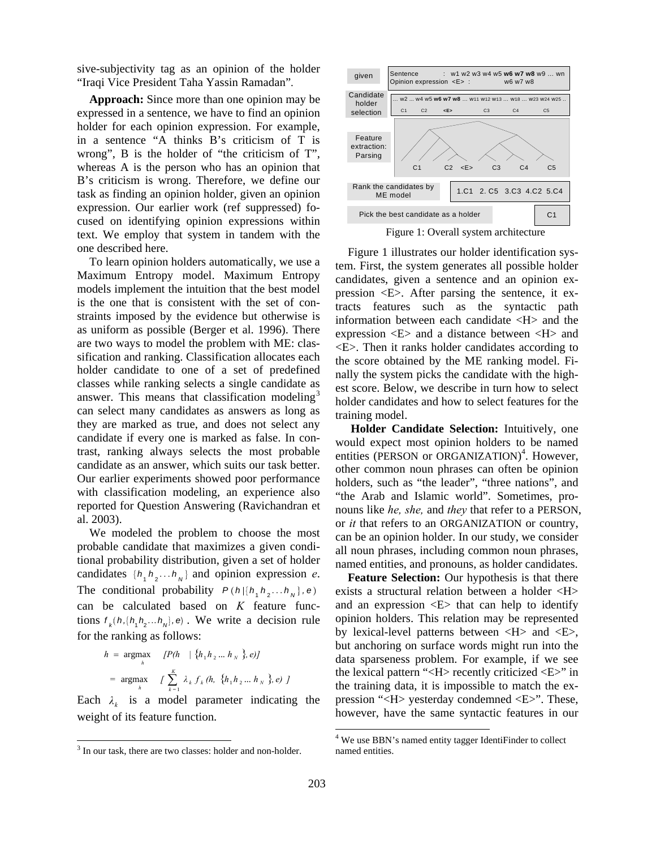sive-subjectivity tag as an opinion of the holder "Iraqi Vice President Taha Yassin Ramadan".

**Approach:** Since more than one opinion may be expressed in a sentence, we have to find an opinion holder for each opinion expression. For example, in a sentence "A thinks B's criticism of T is wrong", B is the holder of "the criticism of T", whereas A is the person who has an opinion that B's criticism is wrong. Therefore, we define our task as finding an opinion holder, given an opinion expression. Our earlier work (ref suppressed) focused on identifying opinion expressions within text. We employ that system in tandem with the one described here.

To learn opinion holders automatically, we use a Maximum Entropy model. Maximum Entropy models implement the intuition that the best model is the one that is consistent with the set of constraints imposed by the evidence but otherwise is as uniform as possible (Berger et al. 1996). There are two ways to model the problem with ME: classification and ranking. Classification allocates each holder candidate to one of a set of predefined classes while ranking selects a single candidate as answer. This means that classification modeling<sup>3</sup> can select many candidates as answers as long as they are marked as true, and does not select any candidate if every one is marked as false. In contrast, ranking always selects the most probable candidate as an answer, which suits our task better. Our earlier experiments showed poor performance with classification modeling, an experience also reported for Question Answering (Ravichandran et al. 2003).

We modeled the problem to choose the most probable candidate that maximizes a given conditional probability distribution, given a set of holder candidates  $\{h_1 h_2 \ldots h_N\}$  and opinion expression *e*. The conditional probability  $P(h | \{h_1, h_2, \ldots, h_n\}, e)$ can be calculated based on *K* feature functions  $f_k(h, [h_1 h_2 ... h_n], e)$ . We write a decision rule for the ranking as follows:

$$
h = \underset{h}{\text{argmax}} \quad [P(h \mid \{h_1 h_2 ... h_N \}, e)]
$$
  
=  $\underset{h}{\text{argmax}} \quad \left[ \sum_{k=1}^{K} \lambda_k f_k(h, \{h_1 h_2 ... h_N \}, e) \right]$ 

Each  $\lambda_k$  is a model parameter indicating the weight of its feature function.

 $\overline{\phantom{a}}$ 



Figure 1: Overall system architecture

Figure 1 illustrates our holder identification system. First, the system generates all possible holder candidates, given a sentence and an opinion expression <E>. After parsing the sentence, it extracts features such as the syntactic path information between each candidate <H> and the expression <E> and a distance between <H> and <E>. Then it ranks holder candidates according to the score obtained by the ME ranking model. Finally the system picks the candidate with the highest score. Below, we describe in turn how to select holder candidates and how to select features for the training model.

**Holder Candidate Selection:** Intuitively, one would expect most opinion holders to be named entities (PERSON or ORGANIZATION)<sup>4</sup>. However, other common noun phrases can often be opinion holders, such as "the leader", "three nations", and "the Arab and Islamic world". Sometimes, pronouns like *he, she,* and *they* that refer to a PERSON, or *it* that refers to an ORGANIZATION or country, can be an opinion holder. In our study, we consider all noun phrases, including common noun phrases, named entities, and pronouns, as holder candidates.

**Feature Selection:** Our hypothesis is that there exists a structural relation between a holder <H> and an expression  $\langle E \rangle$  that can help to identify opinion holders. This relation may be represented by lexical-level patterns between <H> and <E>, but anchoring on surface words might run into the data sparseness problem. For example, if we see the lexical pattern "<H> recently criticized <E>" in the training data, it is impossible to match the expression "<H> yesterday condemned <E>". These, however, have the same syntactic features in our

<sup>&</sup>lt;sup>3</sup> In our task, there are two classes: holder and non-holder.

<sup>&</sup>lt;sup>4</sup> We use BBN's named entity tagger IdentiFinder to collect named entities.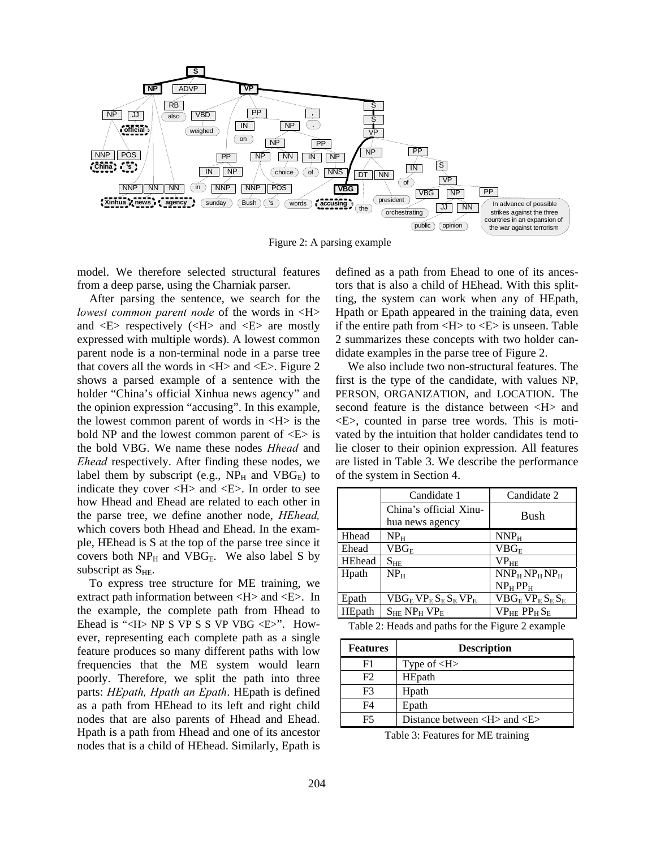

Figure 2: A parsing example

model. We therefore selected structural features from a deep parse, using the Charniak parser.

After parsing the sentence, we search for the *lowest common parent node* of the words in <H> and  $\langle E \rangle$  respectively ( $\langle H \rangle$  and  $\langle E \rangle$  are mostly expressed with multiple words). A lowest common parent node is a non-terminal node in a parse tree that covers all the words in  $\langle H \rangle$  and  $\langle E \rangle$ . Figure 2 shows a parsed example of a sentence with the holder "China's official Xinhua news agency" and the opinion expression "accusing". In this example, the lowest common parent of words in  $\langle H \rangle$  is the bold NP and the lowest common parent of  $\langle E \rangle$  is the bold VBG. We name these nodes *Hhead* and *Ehead* respectively. After finding these nodes, we label them by subscript (e.g.,  $NP_H$  and  $VBG_E$ ) to indicate they cover <H> and <E>. In order to see how Hhead and Ehead are related to each other in the parse tree, we define another node, *HEhead,* which covers both Hhead and Ehead. In the example, HEhead is S at the top of the parse tree since it covers both  $NP<sub>H</sub>$  and  $VBG<sub>E</sub>$ . We also label S by subscript as  $S_{HE}$ .

To express tree structure for ME training, we extract path information between <H> and <E>. In the example, the complete path from Hhead to Ehead is "< $H$ > NP S VP S S VP VBG < $E$ >". However, representing each complete path as a single feature produces so many different paths with low frequencies that the ME system would learn poorly. Therefore, we split the path into three parts: *HEpath, Hpath an Epath*. HEpath is defined as a path from HEhead to its left and right child nodes that are also parents of Hhead and Ehead. Hpath is a path from Hhead and one of its ancestor nodes that is a child of HEhead. Similarly, Epath is defined as a path from Ehead to one of its ancestors that is also a child of HEhead. With this splitting, the system can work when any of HEpath, Hpath or Epath appeared in the training data, even if the entire path from  $\langle H \rangle$  to  $\langle E \rangle$  is unseen. Table 2 summarizes these concepts with two holder candidate examples in the parse tree of Figure 2.

We also include two non-structural features. The first is the type of the candidate, with values NP, PERSON, ORGANIZATION, and LOCATION. The second feature is the distance between <H> and <E>, counted in parse tree words. This is motivated by the intuition that holder candidates tend to lie closer to their opinion expression. All features are listed in Table 3. We describe the performance of the system in Section 4.

|               | Candidate 1                              | Candidate 2                 |
|---------------|------------------------------------------|-----------------------------|
|               | China's official Xinu-                   | Bush                        |
|               | hua news agency                          |                             |
| Hhead         | NP <sub>H</sub>                          | NNP <sub>H</sub>            |
| Ehead         | $VBG_{\rm F}$                            | $\mathrm{VBG}_{\mathrm{F}}$ |
| <b>HEhead</b> | $S_{HE}$                                 | $VP_{HE}$                   |
| Hpath         | $NP_{H}$                                 | $NNP_HNP_HNP_H$             |
|               |                                          | $NP_{H}PP_{H}$              |
| Epath         | $VBG_E VP_E S_E S_E VP_E$                | $VBG_E VP_E S_E S_E$        |
| HEpath        | $S_{HE}$ NP <sub>H</sub> VP <sub>E</sub> | $VP_{HE} PP_H S_E$          |

Table 2: Heads and paths for the Figure 2 example

| <b>Features</b> | <b>Description</b>                                           |
|-----------------|--------------------------------------------------------------|
| F1              | Type of $H$ >                                                |
| F2              | HEpath                                                       |
| F3              | Hpath                                                        |
| F4              | Epath                                                        |
| F5              | Distance between $\langle H \rangle$ and $\langle E \rangle$ |

Table 3: Features for ME training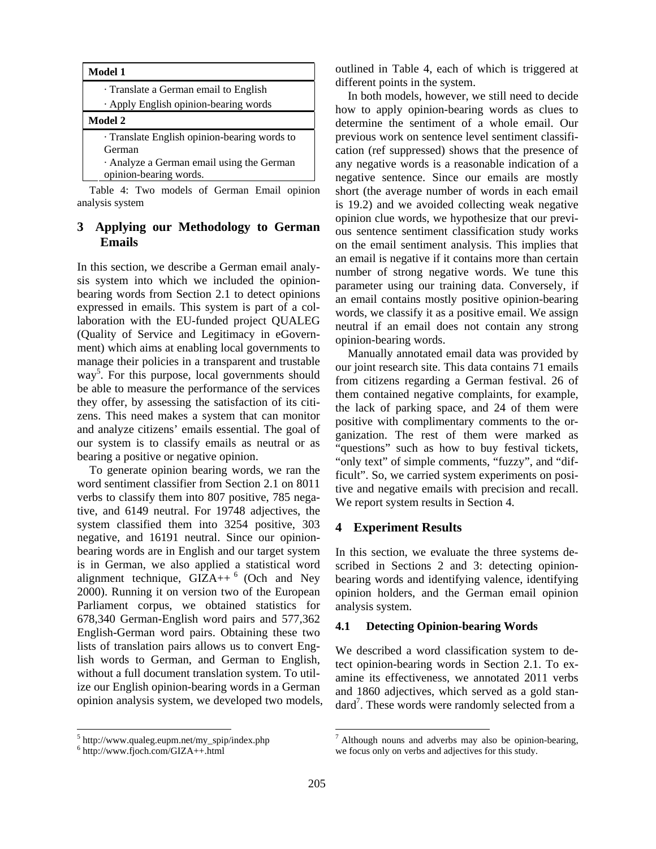| <b>Model 1</b>                                                    |
|-------------------------------------------------------------------|
| Translate a German email to English                               |
| · Apply English opinion-bearing words                             |
| Model 2                                                           |
| · Translate English opinion-bearing words to<br>German            |
| Analyze a German email using the German<br>opinion-bearing words. |

Table 4: Two models of German Email opinion analysis system

## **3 Applying our Methodology to German Emails**

In this section, we describe a German email analysis system into which we included the opinionbearing words from Section 2.1 to detect opinions expressed in emails. This system is part of a collaboration with the EU-funded project QUALEG (Quality of Service and Legitimacy in eGovernment) which aims at enabling local governments to manage their policies in a transparent and trustable way<sup>5</sup>. For this purpose, local governments should be able to measure the performance of the services they offer, by assessing the satisfaction of its citizens. This need makes a system that can monitor and analyze citizens' emails essential. The goal of our system is to classify emails as neutral or as bearing a positive or negative opinion.

To generate opinion bearing words, we ran the word sentiment classifier from Section 2.1 on 8011 verbs to classify them into 807 positive, 785 negative, and 6149 neutral. For 19748 adjectives, the system classified them into 3254 positive, 303 negative, and 16191 neutral. Since our opinionbearing words are in English and our target system is in German, we also applied a statistical word alignment technique,  $\overline{GIZA}$ ++  $\overline{6}$  (Och and Ney 2000). Running it on version two of the European Parliament corpus, we obtained statistics for 678,340 German-English word pairs and 577,362 English-German word pairs. Obtaining these two lists of translation pairs allows us to convert English words to German, and German to English, without a full document translation system. To utilize our English opinion-bearing words in a German opinion analysis system, we developed two models, outlined in Table 4, each of which is triggered at different points in the system.

In both models, however, we still need to decide how to apply opinion-bearing words as clues to determine the sentiment of a whole email. Our previous work on sentence level sentiment classification (ref suppressed) shows that the presence of any negative words is a reasonable indication of a negative sentence. Since our emails are mostly short (the average number of words in each email is 19.2) and we avoided collecting weak negative opinion clue words, we hypothesize that our previous sentence sentiment classification study works on the email sentiment analysis. This implies that an email is negative if it contains more than certain number of strong negative words. We tune this parameter using our training data. Conversely, if an email contains mostly positive opinion-bearing words, we classify it as a positive email. We assign neutral if an email does not contain any strong opinion-bearing words.

Manually annotated email data was provided by our joint research site. This data contains 71 emails from citizens regarding a German festival. 26 of them contained negative complaints, for example, the lack of parking space, and 24 of them were positive with complimentary comments to the organization. The rest of them were marked as "questions" such as how to buy festival tickets, "only text" of simple comments, "fuzzy", and "difficult". So, we carried system experiments on positive and negative emails with precision and recall. We report system results in Section 4.

### **4 Experiment Results**

In this section, we evaluate the three systems described in Sections 2 and 3: detecting opinionbearing words and identifying valence, identifying opinion holders, and the German email opinion analysis system.

#### **4.1 Detecting Opinion-bearing Words**

We described a word classification system to detect opinion-bearing words in Section 2.1. To examine its effectiveness, we annotated 2011 verbs and 1860 adjectives, which served as a gold standard<sup>7</sup>. These words were randomly selected from a

 $\overline{\phantom{a}}$ 

<sup>5</sup> http://www.qualeg.eupm.net/my\_spip/index.php

<sup>6</sup> http://www.fjoch.com/GIZA++.html

 $^7$  Although nouns and adverbs may also be opinion-bearing, we focus only on verbs and adjectives for this study.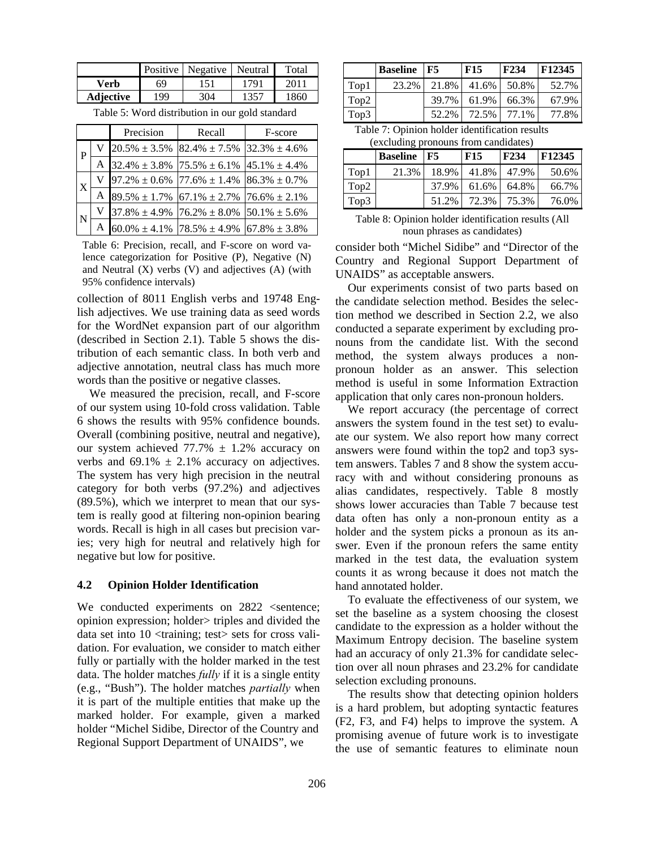|                  |     | Positive   Negative   Neutral |      | Total |
|------------------|-----|-------------------------------|------|-------|
| Verb             | 69  | 151                           | 1791 | 2011  |
| <b>Adjective</b> | 199 | 304                           | 1357 | 1860  |

Table 5: Word distribution in our gold standard

|                  |   | Precision | Recall                                                 | F-score |
|------------------|---|-----------|--------------------------------------------------------|---------|
| P                | V |           | $20.5\% \pm 3.5\%$ 82.4% $\pm 7.5\%$ 32.3% $\pm 4.6\%$ |         |
|                  | A |           | $32.4\% \pm 3.8\%$ 75.5% $\pm 6.1\%$ 45.1% $\pm 4.4\%$ |         |
| $\boldsymbol{X}$ |   |           | $97.2\% \pm 0.6\%$ 77.6% $\pm 1.4\%$ 86.3% $\pm 0.7\%$ |         |
|                  | A |           | $89.5\% \pm 1.7\%$ 67.1% $\pm 2.7\%$ 76.6% $\pm 2.1\%$ |         |
| N                | V |           | $37.8\% \pm 4.9\%$ 76.2% $\pm 8.0\%$ 50.1% $\pm 5.6\%$ |         |
|                  |   |           | $60.0\% \pm 4.1\%$ 78.5% $\pm 4.9\%$ 67.8% $\pm 3.8\%$ |         |

Table 6: Precision, recall, and F-score on word valence categorization for Positive (P), Negative (N) and Neutral  $(X)$  verbs  $(V)$  and adjectives  $(A)$  (with 95% confidence intervals)

collection of 8011 English verbs and 19748 English adjectives. We use training data as seed words for the WordNet expansion part of our algorithm (described in Section 2.1). Table 5 shows the distribution of each semantic class. In both verb and adjective annotation, neutral class has much more words than the positive or negative classes.

We measured the precision, recall, and F-score of our system using 10-fold cross validation. Table 6 shows the results with 95% confidence bounds. Overall (combining positive, neutral and negative), our system achieved  $77.7\% \pm 1.2\%$  accuracy on verbs and  $69.1\% \pm 2.1\%$  accuracy on adjectives. The system has very high precision in the neutral category for both verbs (97.2%) and adjectives (89.5%), which we interpret to mean that our system is really good at filtering non-opinion bearing words. Recall is high in all cases but precision varies; very high for neutral and relatively high for negative but low for positive.

#### **4.2 Opinion Holder Identification**

We conducted experiments on 2822 <sentence; opinion expression; holder> triples and divided the data set into 10 <training; test> sets for cross validation. For evaluation, we consider to match either fully or partially with the holder marked in the test data. The holder matches *fully* if it is a single entity (e.g., "Bush"). The holder matches *partially* when it is part of the multiple entities that make up the marked holder. For example, given a marked holder "Michel Sidibe, Director of the Country and Regional Support Department of UNAIDS", we

|      | <b>Baseline</b> F5 |       | <b>F15</b> | F234  | F12345 |
|------|--------------------|-------|------------|-------|--------|
| Top1 | 23.2%              | 21.8% | 41.6%      | 50.8% | 52.7%  |
| Top2 |                    | 39.7% | 61.9%      | 66.3% | 67.9%  |
| Top3 |                    | 52.2% | 72.5%      | 77.1% | 77.8%  |

Table 7: Opinion holder identification results (excluding pronouns from candidates)

|      | <b>Baseline</b> | F5    | <b>F15</b> | F <sub>234</sub> | <b>F12345</b> |
|------|-----------------|-------|------------|------------------|---------------|
| Top1 | 21.3%           | 18.9% | 41.8%      | 47.9%            | 50.6%         |
| Top2 |                 | 37.9% | 61.6%      | 64.8%            | 66.7%         |
| Top3 |                 | 51.2% | 72.3%      | 75.3%            | 76.0%         |

Table 8: Opinion holder identification results (All noun phrases as candidates)

consider both "Michel Sidibe" and "Director of the Country and Regional Support Department of UNAIDS" as acceptable answers.

Our experiments consist of two parts based on the candidate selection method. Besides the selection method we described in Section 2.2, we also conducted a separate experiment by excluding pronouns from the candidate list. With the second method, the system always produces a nonpronoun holder as an answer. This selection method is useful in some Information Extraction application that only cares non-pronoun holders.

We report accuracy (the percentage of correct answers the system found in the test set) to evaluate our system. We also report how many correct answers were found within the top2 and top3 system answers. Tables 7 and 8 show the system accuracy with and without considering pronouns as alias candidates, respectively. Table 8 mostly shows lower accuracies than Table 7 because test data often has only a non-pronoun entity as a holder and the system picks a pronoun as its answer. Even if the pronoun refers the same entity marked in the test data, the evaluation system counts it as wrong because it does not match the hand annotated holder.

To evaluate the effectiveness of our system, we set the baseline as a system choosing the closest candidate to the expression as a holder without the Maximum Entropy decision. The baseline system had an accuracy of only 21.3% for candidate selection over all noun phrases and 23.2% for candidate selection excluding pronouns.

The results show that detecting opinion holders is a hard problem, but adopting syntactic features (F2, F3, and F4) helps to improve the system. A promising avenue of future work is to investigate the use of semantic features to eliminate noun